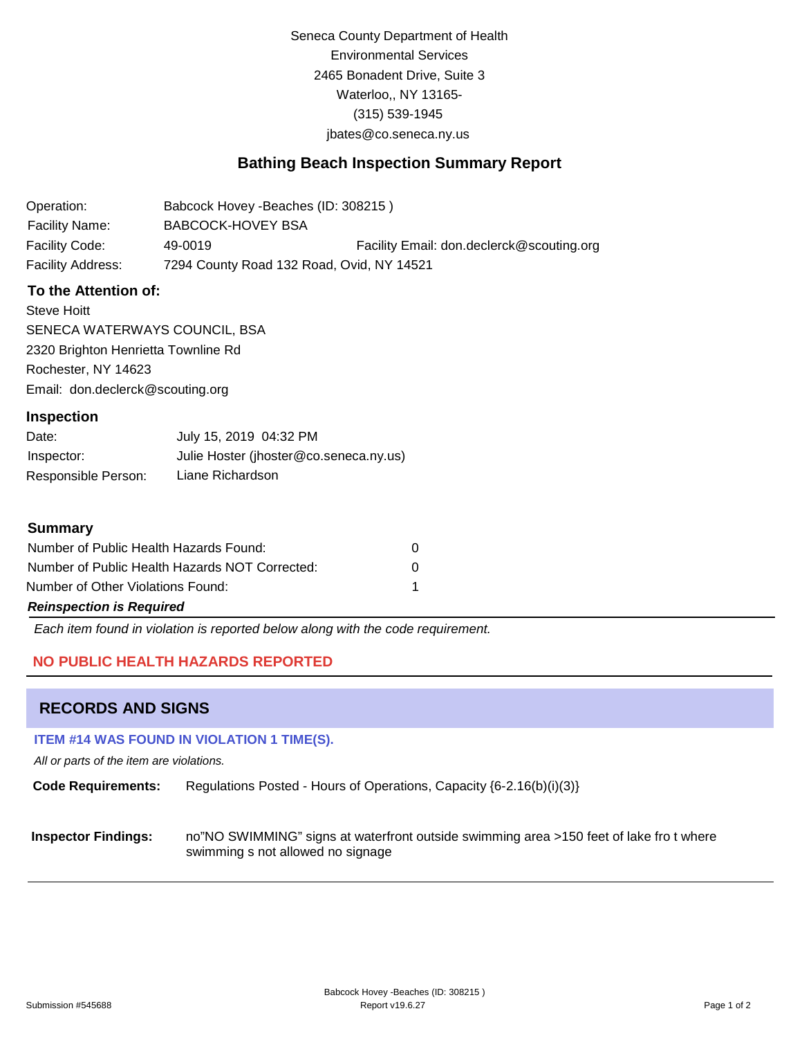Seneca County Department of Health Environmental Services 2465 Bonadent Drive, Suite 3 Waterloo,, NY 13165- (315) 539-1945 [jbates@co.seneca.ny.us](mailto:jbates@co.seneca.ny.us)

## **Bathing Beach Inspection Summary Report**

Operation: Facility Name: Babcock Hovey -Beaches (ID: 308215 ) BABCOCK-HOVEY BSA Facility Code: 49-0019 Facility Email: [don.declerck@scouting.org](mailto:don.declerck@scouting.org) Facility Address: 7294 County Road 132 Road, Ovid, NY 14521

### **To the Attention of:**

Steve Hoitt SENECA WATERWAYS COUNCIL, BSA 2320 Brighton Henrietta Townline Rd Rochester, NY 14623 [Email: don.declerck@scouting.org](mailto:don.declerck@scouting.org)

#### **Inspection**

| Date:               | July 15, 2019 04:32 PM                 |
|---------------------|----------------------------------------|
| Inspector:          | Julie Hoster (jhoster@co.seneca.ny.us) |
| Responsible Person: | Liane Richardson                       |

#### **Summary**

| Number of Public Health Hazards Found:         |   |
|------------------------------------------------|---|
| Number of Public Health Hazards NOT Corrected: | O |
| Number of Other Violations Found:              |   |
| <b>Reinspection is Required</b>                |   |

*Each item found in violation is reported below along with the code requirement.*

### **NO PUBLIC HEALTH HAZARDS REPORTED**

### **RECORDS AND SIGNS**

#### **ITEM #14 WAS FOUND IN VIOLATION 1 TIME(S).**

*All or parts of the item are violations.*

**Code Requirements:** Regulations Posted - Hours of Operations, Capacity {6-2.16(b)(i)(3)}

**Inspector Findings:** no"NO SWIMMING" signs at waterfront outside swimming area >150 feet of lake fro t where swimming s not allowed no signage